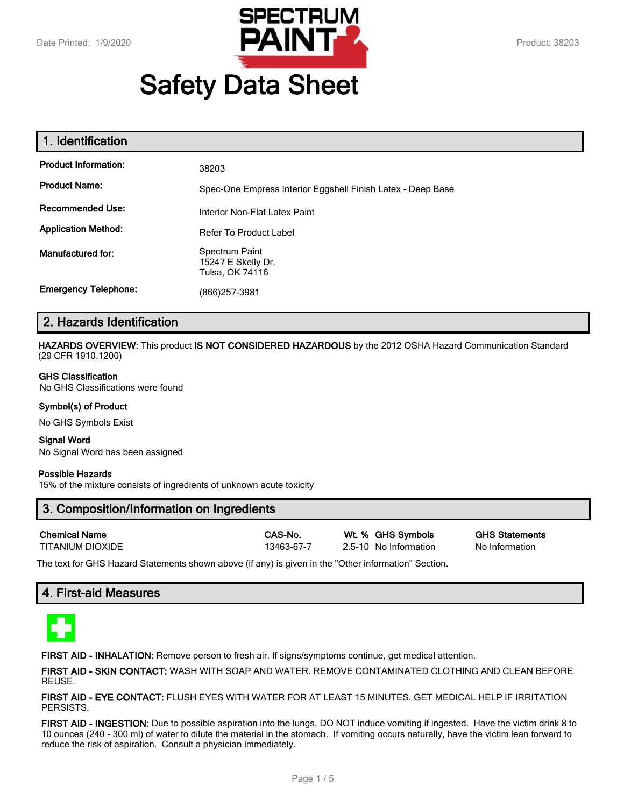

# **Safety Data Sheet**

| 1. Identification           |                                                             |
|-----------------------------|-------------------------------------------------------------|
| <b>Product Information:</b> | 38203                                                       |
| <b>Product Name:</b>        | Spec-One Empress Interior Eggshell Finish Latex - Deep Base |
| <b>Recommended Use:</b>     | Interior Non-Flat Latex Paint                               |
| <b>Application Method:</b>  | <b>Refer To Product Label</b>                               |
| Manufactured for:           | Spectrum Paint<br>15247 E Skelly Dr.<br>Tulsa, OK 74116     |
| <b>Emergency Telephone:</b> | (866)257-3981                                               |

# **2. Hazards Identification**

**HAZARDS OVERVIEW:** This product **IS NOT CONSIDERED HAZARDOUS** by the 2012 OSHA Hazard Communication Standard (29 CFR 1910.1200)

#### **GHS Classification**

No GHS Classifications were found

#### **Symbol(s) of Product**

No GHS Symbols Exist

#### **Signal Word** No Signal Word has been assigned

#### **Possible Hazards**

15% of the mixture consists of ingredients of unknown acute toxicity

# **3. Composition/Information on Ingredients**

**Chemical Name CAS-No. Wt. % GHS Symbols GHS Statements**

TITANIUM DIOXIDE 13463-67-7 2.5-10 No Information No Information

The text for GHS Hazard Statements shown above (if any) is given in the "Other information" Section.

# **4. First-aid Measures**



**FIRST AID - INHALATION:** Remove person to fresh air. If signs/symptoms continue, get medical attention.

**FIRST AID - SKIN CONTACT:** WASH WITH SOAP AND WATER. REMOVE CONTAMINATED CLOTHING AND CLEAN BEFORE REUSE.

**FIRST AID - EYE CONTACT:** FLUSH EYES WITH WATER FOR AT LEAST 15 MINUTES. GET MEDICAL HELP IF IRRITATION PERSISTS.

**FIRST AID - INGESTION:** Due to possible aspiration into the lungs, DO NOT induce vomiting if ingested. Have the victim drink 8 to 10 ounces (240 - 300 ml) of water to dilute the material in the stomach. If vomiting occurs naturally, have the victim lean forward to reduce the risk of aspiration. Consult a physician immediately.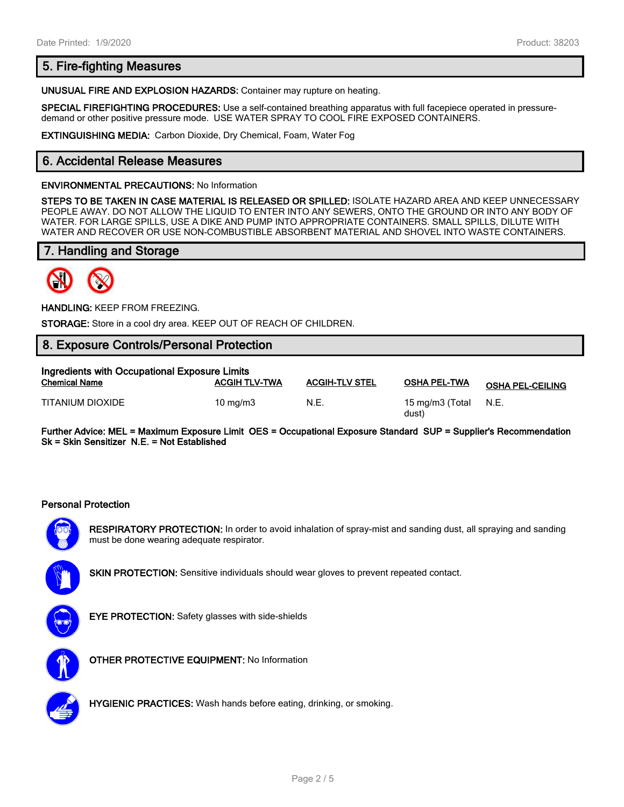# **5. Fire-fighting Measures**

**UNUSUAL FIRE AND EXPLOSION HAZARDS:** Container may rupture on heating.

**SPECIAL FIREFIGHTING PROCEDURES:** Use a self-contained breathing apparatus with full facepiece operated in pressuredemand or other positive pressure mode. USE WATER SPRAY TO COOL FIRE EXPOSED CONTAINERS.

**EXTINGUISHING MEDIA:** Carbon Dioxide, Dry Chemical, Foam, Water Fog

# **6. Accidental Release Measures**

#### **ENVIRONMENTAL PRECAUTIONS:** No Information

**STEPS TO BE TAKEN IN CASE MATERIAL IS RELEASED OR SPILLED:** ISOLATE HAZARD AREA AND KEEP UNNECESSARY PEOPLE AWAY. DO NOT ALLOW THE LIQUID TO ENTER INTO ANY SEWERS, ONTO THE GROUND OR INTO ANY BODY OF WATER. FOR LARGE SPILLS, USE A DIKE AND PUMP INTO APPROPRIATE CONTAINERS. SMALL SPILLS, DILUTE WITH WATER AND RECOVER OR USE NON-COMBUSTIBLE ABSORBENT MATERIAL AND SHOVEL INTO WASTE CONTAINERS.

# **7. Handling and Storage**



**HANDLING:** KEEP FROM FREEZING.

**STORAGE:** Store in a cool dry area. KEEP OUT OF REACH OF CHILDREN.

# **8. Exposure Controls/Personal Protection**

| Ingredients with Occupational Exposure Limits |                      |                       |                          |                         |  |
|-----------------------------------------------|----------------------|-----------------------|--------------------------|-------------------------|--|
| <b>Chemical Name</b>                          | <b>ACGIH TLV-TWA</b> | <b>ACGIH-TLV STEL</b> | <b>OSHA PEL-TWA</b>      | <b>OSHA PEL-CEILING</b> |  |
| TITANIUM DIOXIDE                              | $10 \text{ ma/m}$ 3  | N.E.                  | 15 mg/m3 (Total<br>dust) | N.E.                    |  |

**Further Advice: MEL = Maximum Exposure Limit OES = Occupational Exposure Standard SUP = Supplier's Recommendation Sk = Skin Sensitizer N.E. = Not Established**

#### **Personal Protection**



**RESPIRATORY PROTECTION:** In order to avoid inhalation of spray-mist and sanding dust, all spraying and sanding must be done wearing adequate respirator.



**SKIN PROTECTION:** Sensitive individuals should wear gloves to prevent repeated contact.



**EYE PROTECTION:** Safety glasses with side-shields



**OTHER PROTECTIVE EQUIPMENT:** No Information



**HYGIENIC PRACTICES:** Wash hands before eating, drinking, or smoking.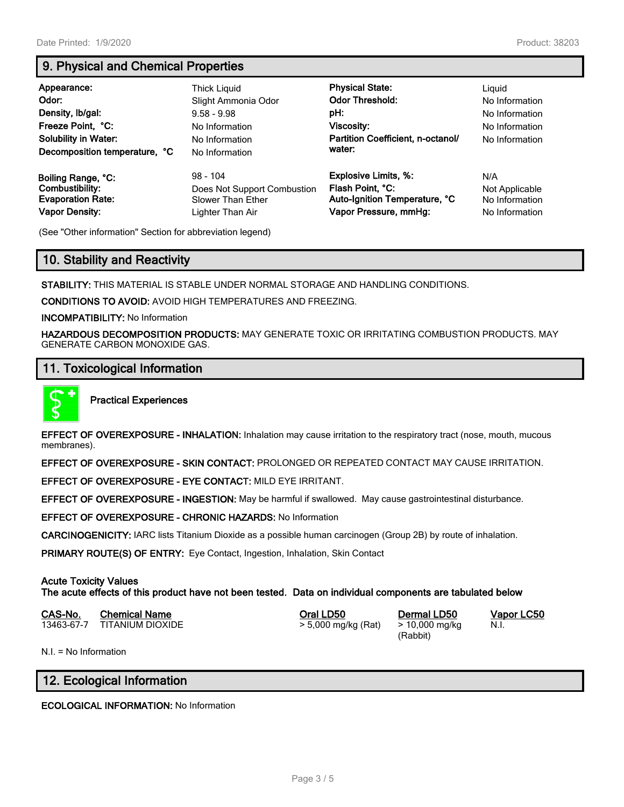# **9. Physical and Chemical Properties**

| Appearance:<br>Odor:<br>Density, Ib/gal:<br>Freeze Point, °C:<br><b>Solubility in Water:</b><br>Decomposition temperature, °C | Thick Liguid<br>Slight Ammonia Odor<br>$9.58 - 9.98$<br>No Information<br>No Information<br>No Information | <b>Physical State:</b><br><b>Odor Threshold:</b><br>pH:<br>Viscosity:<br>Partition Coefficient, n-octanol/<br>water: | Liguid<br>No Information<br>No Information<br>No Information<br>No Information |
|-------------------------------------------------------------------------------------------------------------------------------|------------------------------------------------------------------------------------------------------------|----------------------------------------------------------------------------------------------------------------------|--------------------------------------------------------------------------------|
| Boiling Range, °C:                                                                                                            | $98 - 104$                                                                                                 | <b>Explosive Limits, %:</b>                                                                                          | N/A                                                                            |
| Combustibility:                                                                                                               | Does Not Support Combustion                                                                                | Flash Point, °C:                                                                                                     | Not Applicable                                                                 |
| <b>Evaporation Rate:</b>                                                                                                      | <b>Slower Than Ether</b>                                                                                   | Auto-Ignition Temperature, °C                                                                                        | No Information                                                                 |
| <b>Vapor Density:</b>                                                                                                         | Lighter Than Air                                                                                           | Vapor Pressure, mmHg:                                                                                                | No Information                                                                 |

(See "Other information" Section for abbreviation legend)

# **10. Stability and Reactivity**

**STABILITY:** THIS MATERIAL IS STABLE UNDER NORMAL STORAGE AND HANDLING CONDITIONS.

**CONDITIONS TO AVOID:** AVOID HIGH TEMPERATURES AND FREEZING.

**INCOMPATIBILITY:** No Information

**HAZARDOUS DECOMPOSITION PRODUCTS:** MAY GENERATE TOXIC OR IRRITATING COMBUSTION PRODUCTS. MAY GENERATE CARBON MONOXIDE GAS.

# **11. Toxicological Information**



**Practical Experiences**

**EFFECT OF OVEREXPOSURE - INHALATION:** Inhalation may cause irritation to the respiratory tract (nose, mouth, mucous membranes).

**EFFECT OF OVEREXPOSURE - SKIN CONTACT:** PROLONGED OR REPEATED CONTACT MAY CAUSE IRRITATION.

**EFFECT OF OVEREXPOSURE - EYE CONTACT:** MILD EYE IRRITANT.

**EFFECT OF OVEREXPOSURE - INGESTION:** May be harmful if swallowed. May cause gastrointestinal disturbance.

**EFFECT OF OVEREXPOSURE - CHRONIC HAZARDS:** No Information

**CARCINOGENICITY:** IARC lists Titanium Dioxide as a possible human carcinogen (Group 2B) by route of inhalation.

**PRIMARY ROUTE(S) OF ENTRY:** Eye Contact, Ingestion, Inhalation, Skin Contact

## **Acute Toxicity Values**

**The acute effects of this product have not been tested. Data on individual components are tabulated below**

| CAS-No. | <b>Chemical Name</b>        | Oral LD50           | Dermal LD50    |
|---------|-----------------------------|---------------------|----------------|
|         | 13463-67-7 TITANIUM DIOXIDE | > 5,000 mg/kg (Rat) | > 10,000 mg/kg |

(Rabbit)

**CAS-No. Chemical Name Oral LD50 Dermal LD50 Vapor LC50** N.I.

N.I. = No Information

# **12. Ecological Information**

**ECOLOGICAL INFORMATION:** No Information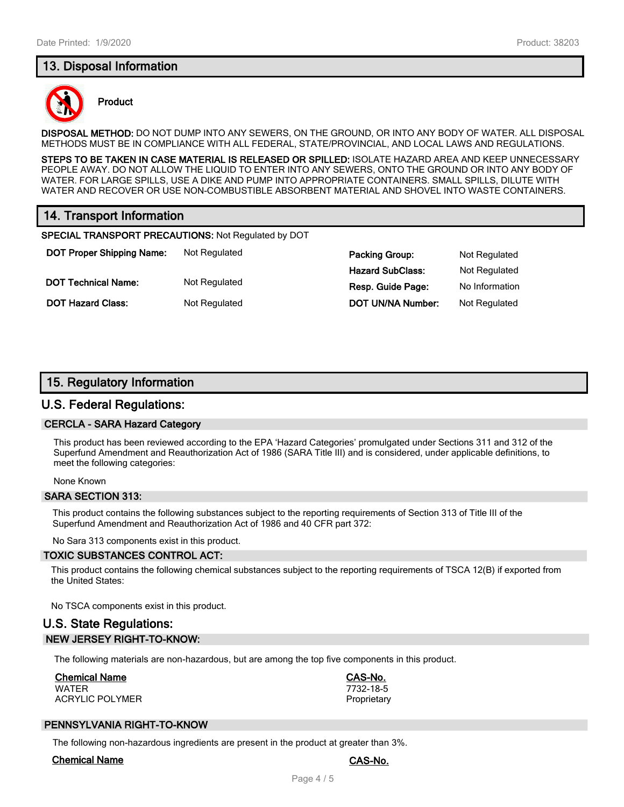# **13. Disposal Information**



#### **Product**

**DISPOSAL METHOD:** DO NOT DUMP INTO ANY SEWERS, ON THE GROUND, OR INTO ANY BODY OF WATER. ALL DISPOSAL METHODS MUST BE IN COMPLIANCE WITH ALL FEDERAL, STATE/PROVINCIAL, AND LOCAL LAWS AND REGULATIONS.

**STEPS TO BE TAKEN IN CASE MATERIAL IS RELEASED OR SPILLED:** ISOLATE HAZARD AREA AND KEEP UNNECESSARY PEOPLE AWAY. DO NOT ALLOW THE LIQUID TO ENTER INTO ANY SEWERS, ONTO THE GROUND OR INTO ANY BODY OF WATER. FOR LARGE SPILLS, USE A DIKE AND PUMP INTO APPROPRIATE CONTAINERS. SMALL SPILLS, DILUTE WITH WATER AND RECOVER OR USE NON-COMBUSTIBLE ABSORBENT MATERIAL AND SHOVEL INTO WASTE CONTAINERS.

# **14. Transport Information**

**SPECIAL TRANSPORT PRECAUTIONS:** Not Regulated by DOT

**DOT Proper Shipping Name:** Not Regulated **Packing Group:** Not Regulated **Packing Group:** Not Regulated **DOT Technical Name:** Not Regulated **Resp. Guide Page:** No Information

**Hazard SubClass:** Not Regulated **DOT Hazard Class:** Not Regulated **DOT UN/NA Number:** Not Regulated

# **15. Regulatory Information**

## **U.S. Federal Regulations:**

#### **CERCLA - SARA Hazard Category**

This product has been reviewed according to the EPA 'Hazard Categories' promulgated under Sections 311 and 312 of the Superfund Amendment and Reauthorization Act of 1986 (SARA Title III) and is considered, under applicable definitions, to meet the following categories:

None Known

#### **SARA SECTION 313:**

This product contains the following substances subject to the reporting requirements of Section 313 of Title III of the Superfund Amendment and Reauthorization Act of 1986 and 40 CFR part 372:

No Sara 313 components exist in this product.

#### **TOXIC SUBSTANCES CONTROL ACT:**

This product contains the following chemical substances subject to the reporting requirements of TSCA 12(B) if exported from the United States:

No TSCA components exist in this product.

# **U.S. State Regulations: NEW JERSEY RIGHT-TO-KNOW:**

The following materials are non-hazardous, but are among the top five components in this product.

## **Chemical Name CAS-No.**

WATER 7732-18-5 ACRYLIC POLYMER **PROPRIET ACRYLIC POLYMER** 

## **PENNSYLVANIA RIGHT-TO-KNOW**

The following non-hazardous ingredients are present in the product at greater than 3%.

#### **Chemical Name CAS-No.**